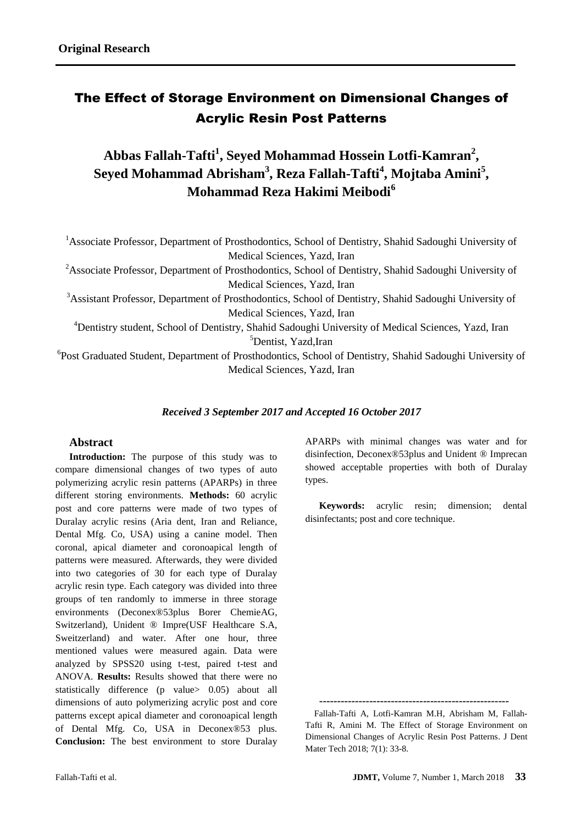# The Effect of Storage Environment on Dimensional Changes of Acrylic Resin Post Patterns

**Abbas Fallah-Tafti<sup>1</sup> , Seyed Mohammad Hossein Lotfi-Kamran<sup>2</sup> , Seyed Mohammad Abrisham<sup>3</sup> , Reza Fallah-Tafti<sup>4</sup> , Mojtaba Amini<sup>5</sup> , Mohammad Reza Hakimi Meibodi<sup>6</sup>**

<sup>1</sup>Associate Professor, Department of Prosthodontics, School of Dentistry, Shahid Sadoughi University of Medical Sciences, Yazd, Iran

<sup>2</sup>Associate Professor, Department of Prosthodontics, School of Dentistry, Shahid Sadoughi University of Medical Sciences, Yazd, Iran

<sup>3</sup>Assistant Professor, Department of Prosthodontics, School of Dentistry, Shahid Sadoughi University of Medical Sciences, Yazd, Iran

<sup>4</sup>Dentistry student, School of Dentistry, Shahid Sadoughi University of Medical Sciences, Yazd, Iran <sup>5</sup>Dentist, Yazd, Iran

<sup>6</sup>Post Graduated Student, Department of Prosthodontics, School of Dentistry, Shahid Sadoughi University of Medical Sciences, Yazd, Iran

## *Received 3 September 2017 and Accepted 16 October 2017*

## **Abstract**

**Introduction:** The purpose of this study was to compare dimensional changes of two types of auto polymerizing acrylic resin patterns (APARPs) in three different storing environments. **Methods:** 60 acrylic post and core patterns were made of two types of Duralay acrylic resins (Aria dent, Iran and Reliance, Dental Mfg. Co, USA) using a canine model. Then coronal, apical diameter and coronoapical length of patterns were measured. Afterwards, they were divided into two categories of 30 for each type of Duralay acrylic resin type. Each category was divided into three groups of ten randomly to immerse in three storage environments (Deconex®53plus Borer ChemieAG, Switzerland), Unident ® Impre(USF Healthcare S.A, Sweitzerland) and water. After one hour, three mentioned values were measured again. Data were analyzed by SPSS20 using t-test, paired t-test and ANOVA. **Results:** Results showed that there were no statistically difference (p value> 0.05) about all dimensions of auto polymerizing acrylic post and core patterns except apical diameter and coronoapical length of Dental Mfg. Co, USA in Deconex®53 plus. **Conclusion:** The best environment to store Duralay

APARPs with minimal changes was water and for disinfection, Deconex®53plus and Unident ® Imprecan showed acceptable properties with both of Duralay types.

**Keywords:** acrylic resin; dimension; dental disinfectants; post and core technique.

**-----------------------------------------------------**

Fallah-Tafti A, Lotfi-Kamran M.H, Abrisham M, Fallah-Tafti R, Amini M. The Effect of Storage Environment on Dimensional Changes of Acrylic Resin Post Patterns. J Dent Mater Tech 2018; 7(1): 33-8.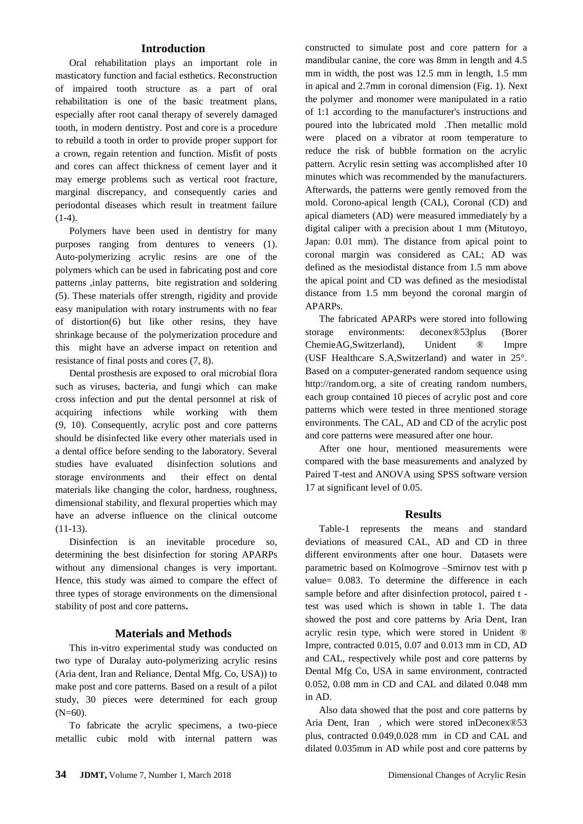### **Introduction**

Oral rehabilitation plays an important role in masticatory function and facial esthetics. Reconstruction of impaired tooth structure as a part of oral rehabilitation is one of the basic treatment plans, especially after root canal therapy of severely damaged tooth, in modern dentistry. Post and core is a procedure to rebuild a tooth in order to provide proper support for a crown, regain retention and function. Misfit of posts and cores can affect thickness of cement layer and it may emerge problems such as vertical root fracture, marginal discrepancy, and consequently caries and periodontal diseases which result in treatment failure  $(1-4).$  $(1-4).$ 

Polymers have been used in dentistry for many purposes ranging from dentures to veneers [\(1\)](#page-3-0). Auto-polymerizing acrylic resins are one of the polymers which can be used in fabricating post and core patterns ,inlay patterns, bite registration and soldering [\(5\)](#page-4-0). These materials offer strength, rigidity and provide easy manipulation with rotary instruments with no fear of distortion[\(6\)](#page-4-1) but like other resins, they have shrinkage because of the polymerization procedure and this might have an adverse impact on retention and resistance of final posts and cores [\(7,](#page-4-2) [8\)](#page-4-3).

Dental prosthesis are exposed to oral microbial flora such as viruses, bacteria, and fungi which can make cross infection and put the dental personnel at risk of acquiring infections while working with them [\(9,](#page-4-4) [10\)](#page-4-5). Consequently, acrylic post and core patterns should be disinfected like every other materials used in a dental office before sending to the laboratory. Several studies have evaluated disinfection solutions and storage environments and their effect on dental materials like changing the color, hardness, roughness, dimensional stability, and flexural properties which may have an adverse influence on the clinical outcome [\(11-13\)](#page-4-6).

Disinfection is an inevitable procedure so, determining the best disinfection for storing APARPs without any dimensional changes is very important. Hence, this study was aimed to compare the effect of three types of storage environments on the dimensional stability of post and core patterns**.**

#### **Materials and Methods**

This in-vitro experimental study was conducted on two type of Duralay auto-polymerizing acrylic resins (Aria dent, Iran and Reliance, Dental Mfg. Co, USA)) to make post and core patterns. Based on a result of a pilot study, 30 pieces were determined for each group (N=60).

To fabricate the acrylic specimens, a two-piece metallic cubic mold with internal pattern was constructed to simulate post and core pattern for a mandibular canine, the core was 8mm in length and 4.5 mm in width, the post was 12.5 mm in length, 1.5 mm in apical and 2.7mm in coronal dimension (Fig. 1). Next the polymer and monomer were manipulated in a ratio of 1:1 according to the manufacturer's instructions and poured into the lubricated mold .Then metallic mold were placed on a vibrator at room temperature to reduce the risk of bubble formation on the acrylic pattern. Acrylic resin setting was accomplished after 10 minutes which was recommended by the manufacturers. Afterwards, the patterns were gently removed from the mold. Corono-apical length (CAL), Coronal (CD) and apical diameters (AD) were measured immediately by a digital caliper with a precision about 1 mm (Mitutoyo, Japan: 0.01 mm). The distance from apical point to coronal margin was considered as CAL; AD was defined as the mesiodistal distance from 1.5 mm above the apical point and CD was defined as the mesiodistal distance from 1.5 mm beyond the coronal margin of APARPs.

The fabricated APARPs were stored into following storage environments: deconex®53plus (Borer ChemieAG,Switzerland), Unident ® Impre (USF Healthcare S.A,Switzerland) and water in 25°. Based on a computer-generated random sequence using [http://random.org,](http://random.org,/) a site of creating random numbers, each group contained 10 pieces of acrylic post and core patterns which were tested in three mentioned storage environments. The CAL, AD and CD of the acrylic post and core patterns were measured after one hour.

After one hour, mentioned measurements were compared with the base measurements and analyzed by Paired T-test and ANOVA using SPSS software version 17 at significant level of 0.05.

#### **Results**

Table-1 represents the means and standard deviations of measured CAL, AD and CD in three different environments after one hour. Datasets were parametric based on Kolmogrove –Smirnov test with p value= 0.083. To determine the difference in each sample before and after disinfection protocol, paired t test was used which is shown in table 1. The data showed the post and core patterns by Aria Dent, Iran acrylic resin type, which were stored in Unident ® Impre, contracted 0.015, 0.07 and 0.013 mm in CD, AD and CAL, respectively while post and core patterns by Dental Mfg Co, USA in same environment, contracted 0.052, 0.08 mm in CD and CAL and dilated 0.048 mm in AD.

Also data showed that the post and core patterns by Aria Dent, Iran , which were stored inDeconex®53 plus, contracted 0.049,0.028 mm in CD and CAL and dilated 0.035mm in AD while post and core patterns by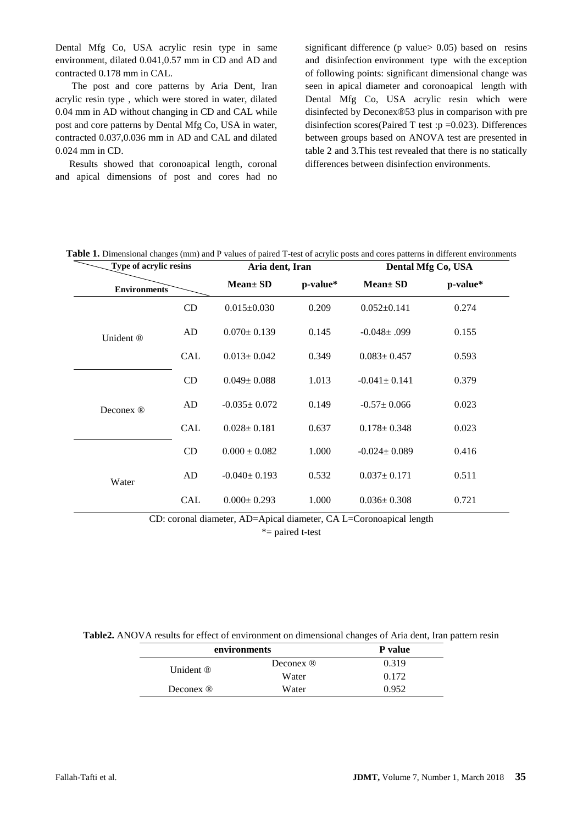Dental Mfg Co, USA acrylic resin type in same environment, dilated 0.041,0.57 mm in CD and AD and contracted 0.178 mm in CAL.

The post and core patterns by Aria Dent, Iran acrylic resin type , which were stored in water, dilated 0.04 mm in AD without changing in CD and CAL while post and core patterns by Dental Mfg Co, USA in water, contracted 0.037,0.036 mm in AD and CAL and dilated 0.024 mm in CD.

Results showed that coronoapical length, coronal and apical dimensions of post and cores had no significant difference (p value > 0.05) based on resins and disinfection environment type with the exception of following points: significant dimensional change was seen in apical diameter and coronoapical length with Dental Mfg Co, USA acrylic resin which were disinfected by Deconex®53 plus in comparison with pre disinfection scores(Paired T test :p =0.023). Differences between groups based on ANOVA test are presented in table 2 and 3.This test revealed that there is no statically differences between disinfection environments.

| <b>Type of acrylic resins</b> |            | Aria dent, Iran    |          | Dental Mfg Co, USA |          |
|-------------------------------|------------|--------------------|----------|--------------------|----------|
| <b>Environments</b>           |            | Mean ± SD          | p-value* | <b>Mean</b> ± SD   | p-value* |
| Unident ®                     | <b>CD</b>  | $0.015 \pm 0.030$  | 0.209    | $0.052 \pm 0.141$  | 0.274    |
|                               | AD         | $0.070 \pm 0.139$  | 0.145    | $-0.048 \pm 0.099$ | 0.155    |
|                               | <b>CAL</b> | $0.013 \pm 0.042$  | 0.349    | $0.083 \pm 0.457$  | 0.593    |
| Deconex ®                     | CD         | $0.049 \pm 0.088$  | 1.013    | $-0.041 \pm 0.141$ | 0.379    |
|                               | AD         | $-0.035 \pm 0.072$ | 0.149    | $-0.57 \pm 0.066$  | 0.023    |
|                               | <b>CAL</b> | $0.028 \pm 0.181$  | 0.637    | $0.178 \pm 0.348$  | 0.023    |
| Water                         | <b>CD</b>  | $0.000 \pm 0.082$  | 1.000    | $-0.024 \pm 0.089$ | 0.416    |
|                               | AD         | $-0.040 \pm 0.193$ | 0.532    | $0.037 \pm 0.171$  | 0.511    |
|                               | <b>CAL</b> | $0.000 + 0.293$    | 1.000    | $0.036 \pm 0.308$  | 0.721    |

**Table 1.** Dimensional changes (mm) and P values of paired T-test of acrylic posts and cores patterns in different environments

CD: coronal diameter, AD=Apical diameter, CA L=Coronoapical length

\*= paired t-test

**Table2.** ANOVA results for effect of environment on dimensional changes of Aria dent, Iran pattern resin

| environments         | P value              |       |
|----------------------|----------------------|-------|
| Unident ®            | Deconex $\mathbb{R}$ | 0.319 |
|                      | Water                | 0.172 |
| Deconex $\mathbb{R}$ | Water                | 0.952 |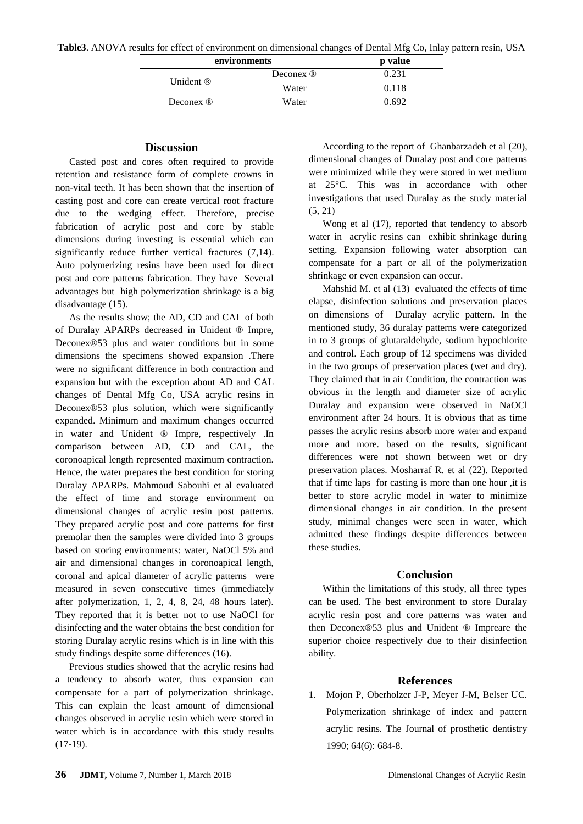| environments         | p value              |       |
|----------------------|----------------------|-------|
|                      | Deconex <sup>®</sup> | 0.231 |
| Unident ®            | Water                | 0.118 |
| Deconex $\mathbb{R}$ | Water                | 0.692 |

#### **Discussion**

Casted post and cores often required to provide retention and resistance form of complete crowns in non-vital teeth. It has been shown that the insertion of casting post and core can create vertical root fracture due to the wedging effect. Therefore, precise fabrication of acrylic post and core by stable dimensions during investing is essential which can significantly reduce further vertical fractures  $(7,14)$  $(7,14)$ . Auto polymerizing resins have been used for direct post and core patterns fabrication. They have Several advantages but high polymerization shrinkage is a big disadvantage [\(15\)](#page-4-8).

As the results show; the AD, CD and CAL of both of Duralay APARPs decreased in Unident ® Impre, Deconex®53 plus and water conditions but in some dimensions the specimens showed expansion .There were no significant difference in both contraction and expansion but with the exception about AD and CAL changes of Dental Mfg Co, USA acrylic resins in Deconex®53 plus solution, which were significantly expanded. Minimum and maximum changes occurred in water and Unident ® Impre, respectively .In comparison between AD, CD and CAL, the coronoapical length represented maximum contraction. Hence, the water prepares the best condition for storing Duralay APARPs. Mahmoud Sabouhi et al evaluated the effect of time and storage environment on dimensional changes of acrylic resin post patterns. They prepared acrylic post and core patterns for first premolar then the samples were divided into 3 groups based on storing environments: water, NaOCl 5% and air and dimensional changes in coronoapical length, coronal and apical diameter of acrylic patterns were measured in seven consecutive times (immediately after polymerization, 1, 2, 4, 8, 24, 48 hours later). They reported that it is better not to use NaOCl for disinfecting and the water obtains the best condition for storing Duralay acrylic resins which is in line with this study findings despite some differences [\(16\)](#page-4-9).

Previous studies showed that the acrylic resins had a tendency to absorb water, thus expansion can compensate for a part of polymerization shrinkage. This can explain the least amount of dimensional changes observed in acrylic resin which were stored in water which is in accordance with this study results [\(17-19\)](#page-4-10).

According to the report of Ghanbarzadeh et al [\(20\)](#page-4-11), dimensional changes of Duralay post and core patterns were minimized while they were stored in wet medium at 25°C. This was in accordance with other investigations that used Duralay as the study material [\(5,](#page-4-0) [21\)](#page-4-12)

Wong et al [\(17\)](#page-4-10), reported that tendency to absorb water in acrylic resins can exhibit shrinkage during setting. Expansion following water absorption can compensate for a part or all of the polymerization shrinkage or even expansion can occur.

Mahshid M. et al [\(13\)](#page-4-13) evaluated the effects of time elapse, disinfection solutions and preservation places on dimensions of Duralay acrylic pattern. In the mentioned study, 36 duralay patterns were categorized in to 3 groups of glutaraldehyde, sodium hypochlorite and control. Each group of 12 specimens was divided in the two groups of preservation places (wet and dry). They claimed that in air Condition, the contraction was obvious in the length and diameter size of acrylic Duralay and expansion were observed in NaOCl environment after 24 hours. It is obvious that as time passes the acrylic resins absorb more water and expand more and more. based on the results, significant differences were not shown between wet or dry preservation places. Mosharraf R. et al [\(22\)](#page-5-0). Reported that if time laps for casting is more than one hour ,it is better to store acrylic model in water to minimize dimensional changes in air condition. In the present study, minimal changes were seen in water, which admitted these findings despite differences between these studies.

#### **Conclusion**

Within the limitations of this study, all three types can be used. The best environment to store Duralay acrylic resin post and core patterns was water and then Deconex®53 plus and Unident ® Impreare the superior choice respectively due to their disinfection ability.

#### **References**

<span id="page-3-0"></span>1. Mojon P, Oberholzer J-P, Meyer J-M, Belser UC. Polymerization shrinkage of index and pattern acrylic resins. The Journal of prosthetic dentistry 1990; 64(6): 684-8.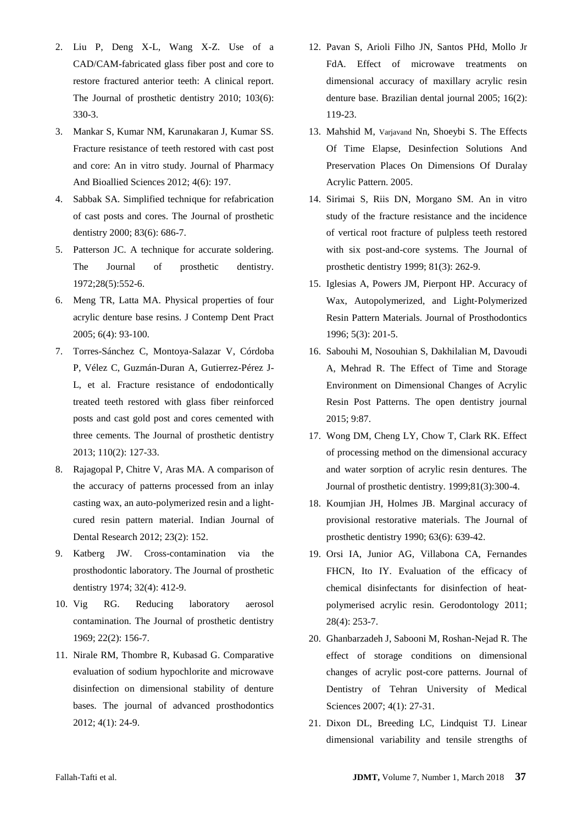- 2. Liu P, Deng X-L, Wang X-Z. Use of a CAD/CAM-fabricated glass fiber post and core to restore fractured anterior teeth: A clinical report. The Journal of prosthetic dentistry 2010; 103(6): 330-3.
- 3. Mankar S, Kumar NM, Karunakaran J, Kumar SS. Fracture resistance of teeth restored with cast post and core: An in vitro study. Journal of Pharmacy And Bioallied Sciences 2012; 4(6): 197.
- 4. Sabbak SA. Simplified technique for refabrication of cast posts and cores. The Journal of prosthetic dentistry 2000; 83(6): 686-7.
- <span id="page-4-0"></span>5. Patterson JC. A technique for accurate soldering. The Journal of prosthetic dentistry. 1972;28(5):552-6.
- <span id="page-4-1"></span>6. Meng TR, Latta MA. Physical properties of four acrylic denture base resins. J Contemp Dent Pract 2005; 6(4): 93-100.
- <span id="page-4-2"></span>7. Torres-Sánchez C, Montoya-Salazar V, Córdoba P, Vélez C, Guzmán-Duran A, Gutierrez-Pérez J-L, et al. Fracture resistance of endodontically treated teeth restored with glass fiber reinforced posts and cast gold post and cores cemented with three cements. The Journal of prosthetic dentistry 2013; 110(2): 127-33.
- <span id="page-4-3"></span>8. Rajagopal P, Chitre V, Aras MA. A comparison of the accuracy of patterns processed from an inlay casting wax, an auto-polymerized resin and a lightcured resin pattern material. Indian Journal of Dental Research 2012; 23(2): 152.
- <span id="page-4-4"></span>9. Katberg JW. Cross-contamination via the prosthodontic laboratory. The Journal of prosthetic dentistry 1974; 32(4): 412-9.
- <span id="page-4-5"></span>10. Vig RG. Reducing laboratory aerosol contamination. The Journal of prosthetic dentistry 1969; 22(2): 156-7.
- <span id="page-4-6"></span>11. Nirale RM, Thombre R, Kubasad G. Comparative evaluation of sodium hypochlorite and microwave disinfection on dimensional stability of denture bases. The journal of advanced prosthodontics 2012; 4(1): 24-9.
- 12. Pavan S, Arioli Filho JN, Santos PHd, Mollo Jr FdA. Effect of microwave treatments on dimensional accuracy of maxillary acrylic resin denture base. Brazilian dental journal 2005; 16(2): 119-23.
- <span id="page-4-13"></span>13. Mahshid M, Varjavand Nn, Shoeybi S. The Effects Of Time Elapse, Desinfection Solutions And Preservation Places On Dimensions Of Duralay Acrylic Pattern. 2005.
- <span id="page-4-7"></span>14. Sirimai S, Riis DN, Morgano SM. An in vitro study of the fracture resistance and the incidence of vertical root fracture of pulpless teeth restored with six post-and-core systems. The Journal of prosthetic dentistry 1999; 81(3): 262-9.
- <span id="page-4-8"></span>15. Iglesias A, Powers JM, Pierpont HP. Accuracy of Wax, Autopolymerized, and Light‐Polymerized Resin Pattern Materials. Journal of Prosthodontics 1996; 5(3): 201-5.
- <span id="page-4-9"></span>16. Sabouhi M, Nosouhian S, Dakhilalian M, Davoudi A, Mehrad R. The Effect of Time and Storage Environment on Dimensional Changes of Acrylic Resin Post Patterns. The open dentistry journal 2015; 9:87.
- <span id="page-4-10"></span>17. Wong DM, Cheng LY, Chow T, Clark RK. Effect of processing method on the dimensional accuracy and water sorption of acrylic resin dentures. The Journal of prosthetic dentistry. 1999;81(3):300-4.
- 18. Koumjian JH, Holmes JB. Marginal accuracy of provisional restorative materials. The Journal of prosthetic dentistry 1990; 63(6): 639-42.
- 19. Orsi IA, Junior AG, Villabona CA, Fernandes FHCN, Ito IY. Evaluation of the efficacy of chemical disinfectants for disinfection of heat‐ polymerised acrylic resin. Gerodontology 2011; 28(4): 253-7.
- <span id="page-4-11"></span>20. Ghanbarzadeh J, Sabooni M, Roshan-Nejad R. The effect of storage conditions on dimensional changes of acrylic post-core patterns. Journal of Dentistry of Tehran University of Medical Sciences 2007; 4(1): 27-31.
- <span id="page-4-12"></span>21. Dixon DL, Breeding LC, Lindquist TJ. Linear dimensional variability and tensile strengths of